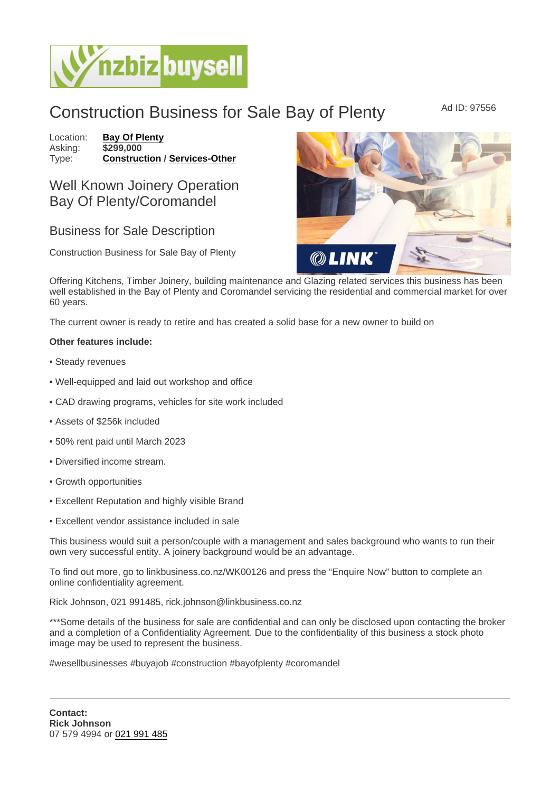## Construction Business for Sale Bay of Plenty Ad ID: 97556

Location: [Bay Of Plenty](https://www.nzbizbuysell.co.nz/businesses-for-sale/location/Bay-Of-Plenty) Asking: \$299,000<br>Type: **Construct** [Construction](https://www.nzbizbuysell.co.nz/businesses-for-sale/Construction/New-Zealand) / [Services-Other](https://www.nzbizbuysell.co.nz/businesses-for-sale/Services/New-Zealand)

## Well Known Joinery Operation Bay Of Plenty/Coromandel

## Business for Sale Description

Construction Business for Sale Bay of Plenty

Offering Kitchens, Timber Joinery, building maintenance and Glazing related services this business has been well established in the Bay of Plenty and Coromandel servicing the residential and commercial market for over 60 years.

The current owner is ready to retire and has created a solid base for a new owner to build on

Other features include:

- Steady revenues
- Well-equipped and laid out workshop and office
- CAD drawing programs, vehicles for site work included
- Assets of \$256k included
- 50% rent paid until March 2023
- Diversified income stream.
- Growth opportunities
- Excellent Reputation and highly visible Brand
- Excellent vendor assistance included in sale

This business would suit a person/couple with a management and sales background who wants to run their own very successful entity. A joinery background would be an advantage.

To find out more, go to linkbusiness.co.nz/WK00126 and press the "Enquire Now" button to complete an online confidentiality agreement.

Rick Johnson, 021 991485, rick.johnson@linkbusiness.co.nz

\*\*\*Some details of the business for sale are confidential and can only be disclosed upon contacting the broker and a completion of a Confidentiality Agreement. Due to the confidentiality of this business a stock photo image may be used to represent the business.

#wesellbusinesses #buyajob #construction #bayofplenty #coromandel